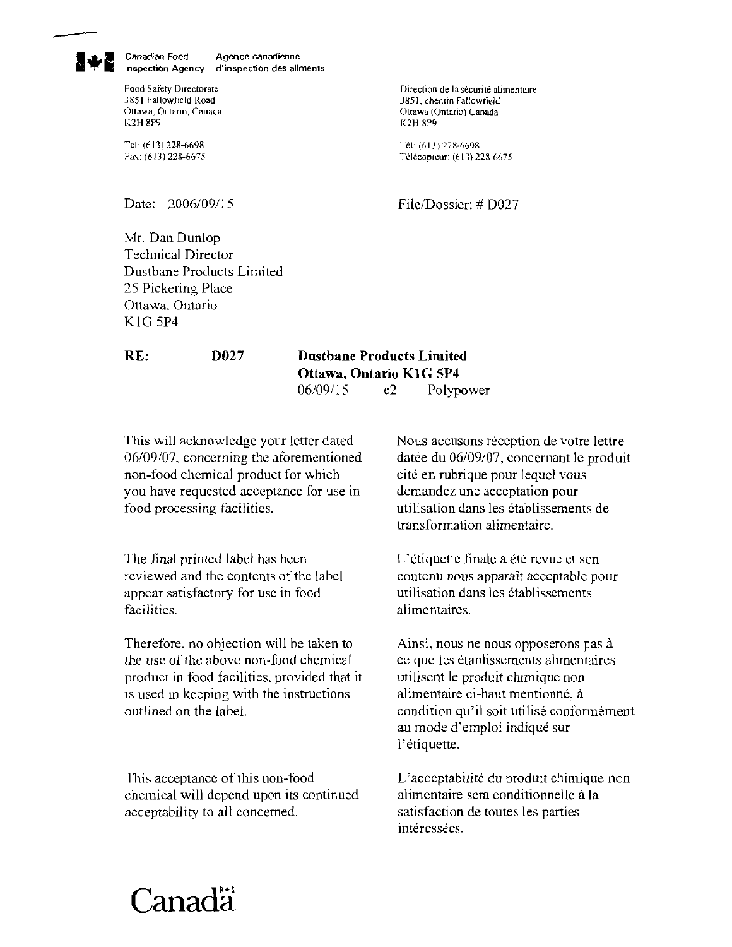Canadian Food Agence canadienne Inspection Agency d'inspection des aliments

**Food Safety Directorate 3851 Fallowfield Road Ottawa, Ontario, Canada li2H 8P9** 

Tcl: **(613) 228-6698**  Fax **(613) 228-6675**  Direction de la sécurité alimentaire **3851, cherntn Fallowfield Ottawa** (Ontario) Canada **1<2H 8P9** 

Tél: (613) 228-6698 Télécopieur: (613) 228-6675

File/Dossier: # D027

Date: 2006/09/15

Mr Dan Dunlop Technical Director Dustbane Products Limited 25 Pickering Place Ottawa, Ontario KIG 5P4

## **RE: DO27**

## **Dustbane Products Limited Ottawa, Ontario K1G 5P4**<br>06/09/15 e2 Polyn c<sub>2</sub> Polypower

This will acknowledge your letter dated Nous accusons réception de votre lettre 06/09/07, concerning the aforementioned datée du 06/09/07, concernant le produit non-food chemical product for which cite en mbrique pour lequel vous you have requested acceptance for use in demandez une acceptation pour food processing facilities. utilisation dans les etablissements de

The final printed label has been  $L$  etiquette finale a ete revue et son reviewed and the contents of the label contenu nous apparait acceptable pour appear satisfactory for use in food utilisation dans les etablissements facilities. alimentaires.

Therefore, no objection will be taken to  $\qquad$  Ainsi, nous ne nous opposerons pas à the use of the above non-food chemical ce que les etablissements alimentaires product in food facilities. provided that it utilisent le produit chimique non is used in keeping with the instructions alimentaire ci-haut mentionné, à outlined on the label. condition qu'il soit utilise conformement

This acceptance of this non-food L'acceptabilite du produit chimique non chemical will depend upon its continued alimentaire sera conditionnelle a la acceptability to all concerned. satisfaction de toutes les parties

transformation alimentaire.

au mode d'emploi indique sur l'etiquette.

interessees.

## Canada<sup>r</sup>